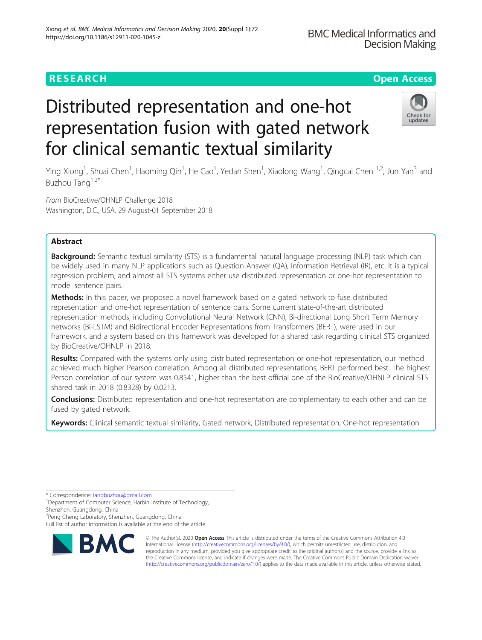### **RESEARCH CHEAR CHEAR CHEAR CHEAR CHEAR CHEAP CONTROL**

## Check for updates

# Distributed representation and one-hot representation fusion with gated network for clinical semantic textual similarity

Ying Xiong<sup>1</sup>, Shuai Chen<sup>1</sup>, Haoming Qin<sup>1</sup>, He Cao<sup>1</sup>, Yedan Shen<sup>1</sup>, Xiaolong Wang<sup>1</sup>, Qingcai Chen <sup>1,2</sup>, Jun Yan<sup>3</sup> and Buzhou Tang<sup>1,2\*</sup>

From BioCreative/OHNLP Challenge 2018 Washington, D.C., USA. 29 August-01 September 2018

#### Abstract

Background: Semantic textual similarity (STS) is a fundamental natural language processing (NLP) task which can be widely used in many NLP applications such as Question Answer (QA), Information Retrieval (IR), etc. It is a typical regression problem, and almost all STS systems either use distributed representation or one-hot representation to model sentence pairs.

**Methods:** In this paper, we proposed a novel framework based on a gated network to fuse distributed representation and one-hot representation of sentence pairs. Some current state-of-the-art distributed representation methods, including Convolutional Neural Network (CNN), Bi-directional Long Short Term Memory networks (Bi-LSTM) and Bidirectional Encoder Representations from Transformers (BERT), were used in our framework, and a system based on this framework was developed for a shared task regarding clinical STS organized by BioCreative/OHNLP in 2018.

Results: Compared with the systems only using distributed representation or one-hot representation, our method achieved much higher Pearson correlation. Among all distributed representations, BERT performed best. The highest Person correlation of our system was 0.8541, higher than the best official one of the BioCreative/OHNLP clinical STS shared task in 2018 (0.8328) by 0.0213.

**Conclusions:** Distributed representation and one-hot representation are complementary to each other and can be fused by gated network.

Keywords: Clinical semantic textual similarity, Gated network, Distributed representation, One-hot representation

2 Peng Cheng Laboratory, Shenzhen, Guangdong, China

Full list of author information is available at the end of the article



© The Author(s), 2020 **Open Access** This article is distributed under the terms of the Creative Commons Attribution 4.0 International License [\(http://creativecommons.org/licenses/by/4.0/](http://creativecommons.org/licenses/by/4.0/)), which permits unrestricted use, distribution, and reproduction in any medium, provided you give appropriate credit to the original author(s) and the source, provide a link to<br>the Creative Commons license, and indicate if changes were made. The Creative Commons Public Doma [\(http://creativecommons.org/publicdomain/zero/1.0/](http://creativecommons.org/publicdomain/zero/1.0/)) applies to the data made available in this article, unless otherwise stated.

<sup>\*</sup> Correspondence: [tangbuzhou@gmail.com](mailto:tangbuzhou@gmail.com) <sup>1</sup>

<sup>&</sup>lt;sup>1</sup>Department of Computer Science, Harbin Institute of Technology, Shenzhen, Guangdong, China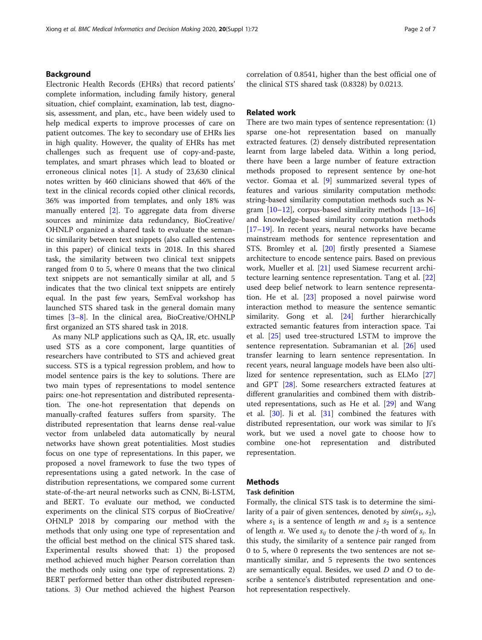#### Background

Electronic Health Records (EHRs) that record patients' complete information, including family history, general situation, chief complaint, examination, lab test, diagnosis, assessment, and plan, etc., have been widely used to help medical experts to improve processes of care on patient outcomes. The key to secondary use of EHRs lies in high quality. However, the quality of EHRs has met challenges such as frequent use of copy-and-paste, templates, and smart phrases which lead to bloated or erroneous clinical notes [\[1](#page-6-0)]. A study of 23,630 clinical notes written by 460 clinicians showed that 46% of the text in the clinical records copied other clinical records, 36% was imported from templates, and only 18% was manually entered [\[2](#page-6-0)]. To aggregate data from diverse sources and minimize data redundancy, BioCreative/ OHNLP organized a shared task to evaluate the semantic similarity between text snippets (also called sentences in this paper) of clinical texts in 2018. In this shared task, the similarity between two clinical text snippets ranged from 0 to 5, where 0 means that the two clinical text snippets are not semantically similar at all, and 5 indicates that the two clinical text snippets are entirely equal. In the past few years, SemEval workshop has launched STS shared task in the general domain many times [[3](#page-6-0)–[8](#page-6-0)]. In the clinical area, BioCreative/OHNLP first organized an STS shared task in 2018.

As many NLP applications such as QA, IR, etc. usually used STS as a core component, large quantities of researchers have contributed to STS and achieved great success. STS is a typical regression problem, and how to model sentence pairs is the key to solutions. There are two main types of representations to model sentence pairs: one-hot representation and distributed representation. The one-hot representation that depends on manually-crafted features suffers from sparsity. The distributed representation that learns dense real-value vector from unlabeled data automatically by neural networks have shown great potentialities. Most studies focus on one type of representations. In this paper, we proposed a novel framework to fuse the two types of representations using a gated network. In the case of distribution representations, we compared some current state-of-the-art neural networks such as CNN, Bi-LSTM, and BERT. To evaluate our method, we conducted experiments on the clinical STS corpus of BioCreative/ OHNLP 2018 by comparing our method with the methods that only using one type of representation and the official best method on the clinical STS shared task. Experimental results showed that: 1) the proposed method achieved much higher Pearson correlation than the methods only using one type of representations. 2) BERT performed better than other distributed representations. 3) Our method achieved the highest Pearson correlation of 0.8541, higher than the best official one of the clinical STS shared task (0.8328) by 0.0213.

#### Related work

There are two main types of sentence representation: (1) sparse one-hot representation based on manually extracted features. (2) densely distributed representation learnt from large labeled data. Within a long period, there have been a large number of feature extraction methods proposed to represent sentence by one-hot vector. Gomaa et al. [[9\]](#page-6-0) summarized several types of features and various similarity computation methods: string-based similarity computation methods such as Ngram  $[10-12]$  $[10-12]$  $[10-12]$  $[10-12]$  $[10-12]$ , corpus-based similarity methods  $[13-16]$  $[13-16]$  $[13-16]$  $[13-16]$  $[13-16]$ and knowledge-based similarity computation methods [[17](#page-6-0)–[19](#page-6-0)]. In recent years, neural networks have became mainstream methods for sentence representation and STS. Bromley et al. [[20](#page-6-0)] firstly presented a Siamese architecture to encode sentence pairs. Based on previous work, Mueller et al. [[21](#page-6-0)] used Siamese recurrent architecture learning sentence representation. Tang et al. [[22](#page-6-0)] used deep belief network to learn sentence representation. He et al. [\[23\]](#page-6-0) proposed a novel pairwise word interaction method to measure the sentence semantic similarity. Gong et al. [\[24\]](#page-6-0) further hierarchically extracted semantic features from interaction space. Tai et al. [[25](#page-6-0)] used tree-structured LSTM to improve the sentence representation. Subramanian et al. [[26](#page-6-0)] used transfer learning to learn sentence representation. In recent years, neural language models have been also ultilized for sentence representation, such as ELMo [[27](#page-6-0)] and GPT [\[28](#page-6-0)]. Some researchers extracted features at different granularities and combined them with distributed representations, such as He et al. [\[29](#page-6-0)] and Wang et al. [[30\]](#page-6-0). Ji et al. [[31](#page-6-0)] combined the features with distributed representation, our work was similar to Ji's work, but we used a novel gate to choose how to combine one-hot representation and distributed representation.

#### Methods

#### Task definition

Formally, the clinical STS task is to determine the similarity of a pair of given sentences, denoted by  $sim(s_1, s_2)$ , where  $s_1$  is a sentence of length m and  $s_2$  is a sentence of length *n*. We used  $s_{ij}$  to denote the *j*-th word of  $s_i$ . In this study, the similarity of a sentence pair ranged from 0 to 5, where 0 represents the two sentences are not semantically similar, and 5 represents the two sentences are semantically equal. Besides, we used  $D$  and  $O$  to describe a sentence's distributed representation and onehot representation respectively.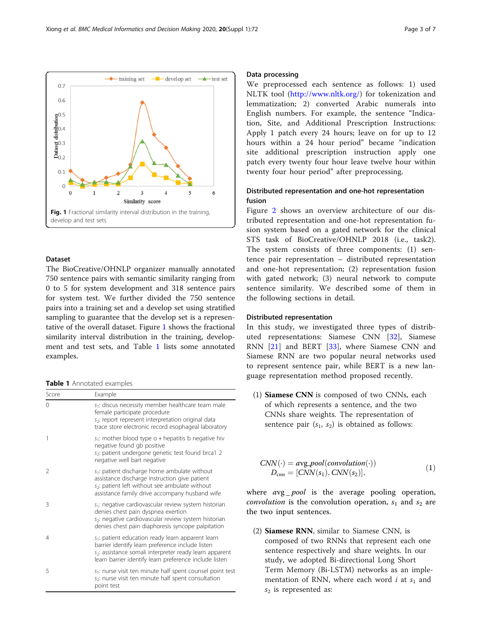The BioCreative/OHNLP organizer manually annotated 750 sentence pairs with semantic similarity ranging from 0 to 5 for system development and 318 sentence pairs for system test. We further divided the 750 sentence pairs into a training set and a develop set using stratified sampling to guarantee that the develop set is a representative of the overall dataset. Figure 1 shows the fractional similarity interval distribution in the training, development and test sets, and Table 1 lists some annotated examples.

| Table 1 Annotated examples |  |
|----------------------------|--|
|----------------------------|--|

Dataset

| Score         | Example<br>$s1$ : discus necessity member healthcare team male<br>female participate procedure<br>s <sub>2</sub> : report represent interpretation original data<br>trace store electronic record esophageal laboratory                  |  |  |  |  |  |
|---------------|------------------------------------------------------------------------------------------------------------------------------------------------------------------------------------------------------------------------------------------|--|--|--|--|--|
| $\Omega$      |                                                                                                                                                                                                                                          |  |  |  |  |  |
| 1             | $s_1$ : mother blood type o + hepatitis b negative hiv<br>negative found gb positive<br>s <sub>2</sub> : patient undergone genetic test found brca1 2<br>negative well bart negative                                                     |  |  |  |  |  |
| $\mathcal{P}$ | $s_1$ : patient discharge home ambulate without<br>assistance discharge instruction give patient<br>s <sub>2</sub> : patient left without see ambulate without<br>assistance family drive accompany husband wife                         |  |  |  |  |  |
| ξ             | $s1$ : negative cardiovascular review system historian<br>denies chest pain dyspnea exertion<br>s <sub>2</sub> : negative cardiovascular review system historian<br>denies chest pain diaphoresis syncope palpitation                    |  |  |  |  |  |
| 4             | $s1$ : patient education ready learn apparent learn<br>barrier identify learn preference include listen<br>s <sub>2</sub> : assistance somali interpreter ready learn apparent<br>learn barrier identify learn preference include listen |  |  |  |  |  |
| 5             | s <sub>1</sub> : nurse visit ten minute half spent counsel point test<br>s <sub>2</sub> : nurse visit ten minute half spent consultation<br>point test                                                                                   |  |  |  |  |  |

#### Data processing

We preprocessed each sentence as follows: 1) used NLTK tool ([http://www.nltk.org/\)](http://www.nltk.org/) for tokenization and lemmatization; 2) converted Arabic numerals into English numbers. For example, the sentence "Indication, Site, and Additional Prescription Instructions: Apply 1 patch every 24 hours; leave on for up to 12 hours within a 24 hour period" became "indication site additional prescription instruction apply one patch every twenty four hour leave twelve hour within twenty four hour period" after preprocessing.

#### Distributed representation and one-hot representation fusion

Figure [2](#page-3-0) shows an overview architecture of our distributed representation and one-hot representation fusion system based on a gated network for the clinical STS task of BioCreative/OHNLP 2018 (i.e., task2). The system consists of three components: (1) sentence pair representation – distributed representation and one-hot representation; (2) representation fusion with gated network; (3) neural network to compute sentence similarity. We described some of them in the following sections in detail.

#### Distributed representation

In this study, we investigated three types of distributed representations: Siamese CNN [\[32](#page-6-0)], Siamese RNN [\[21\]](#page-6-0) and BERT [\[33](#page-6-0)], where Siamese CNN and Siamese RNN are two popular neural networks used to represent sentence pair, while BERT is a new language representation method proposed recently.

(1) Siamese CNN is composed of two CNNs, each of which represents a sentence, and the two CNNs share weights. The representation of sentence pair  $(s_1, s_2)$  is obtained as follows:

$$
CNN(\cdot) = avg\_pool(convolution(\cdot))
$$
  
\n
$$
D_{cnn} = [CNN(s_1), CNN(s_2)],
$$
\n(1)

where  $avg\_pool$  is the average pooling operation, *convolution* is the convolution operation,  $s_1$  and  $s_2$  are the two input sentences.

(2) Siamese RNN, similar to Siamese CNN, is composed of two RNNs that represent each one sentence respectively and share weights. In our study, we adopted Bi-directional Long Short Term Memory (Bi-LSTM) networks as an implementation of RNN, where each word *i* at  $s_1$  and  $s_2$  is represented as:

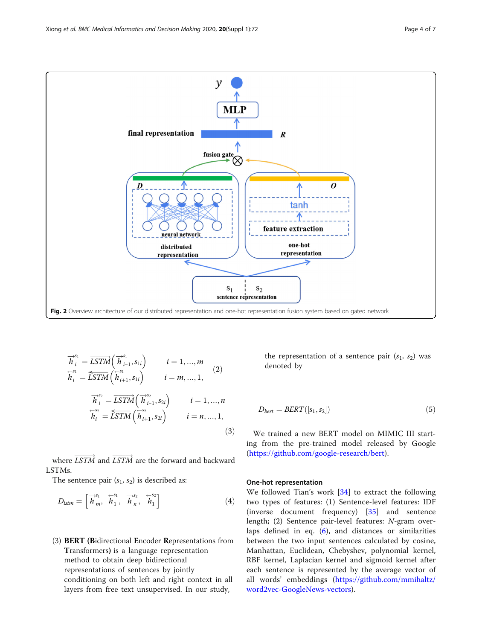<span id="page-3-0"></span>

$$
\overrightarrow{h}_{i}^{s_{1}} = \overrightarrow{LSTM} \left( \overrightarrow{h}_{i-1}^{s_{1}}, s_{1i} \right) \qquad i = 1, ..., m
$$
\n
$$
\overleftarrow{h}_{i}^{s_{1}} = \overrightarrow{LSTM} \left( \overleftarrow{h}_{i+1}^{s_{1}}, s_{1i} \right) \qquad i = m, ..., 1,
$$
\n
$$
\overrightarrow{h}_{i}^{s_{2}} = \overrightarrow{LSTM} \left( \overrightarrow{h}_{i-1}^{s_{2}}, s_{2i} \right) \qquad i = 1, ..., n
$$
\n
$$
\overleftarrow{h}_{i}^{s_{2}} = \overrightarrow{LSTM} \left( \overleftarrow{h}_{i+1}^{s_{2}}}, s_{2i} \right) \qquad i = n, ..., 1,
$$
\n(3)

where  $\overrightarrow{LSTM}$  and  $\overrightarrow{LSTM}$  are the forward and backward LSTMs.

The sentence pair  $(s_1, s_2)$  is described as:

$$
D_{lstm} = \left[\overrightarrow{h}_m^s, \overrightarrow{h}_1^s, \overrightarrow{h}_n^s, \overrightarrow{h}_1^s\right]
$$
 (4)

(3) BERT (Bidirectional Encoder Representations from Transformers) is a language representation method to obtain deep bidirectional representations of sentences by jointly conditioning on both left and right context in all layers from free text unsupervised. In our study,

the representation of a sentence pair  $(s_1, s_2)$  was denoted by

$$
D_{bert} = BERT([s_1, s_2])
$$
\n<sup>(5)</sup>

We trained a new BERT model on MIMIC III starting from the pre-trained model released by Google (<https://github.com/google-research/bert>).

#### One-hot representation

We followed Tian's work [\[34](#page-6-0)] to extract the following two types of features: (1) Sentence-level features: IDF (inverse document frequency) [\[35](#page-6-0)] and sentence length; (2) Sentence pair-level features: N-gram overlaps defined in eq. ([6\)](#page-4-0), and distances or similarities between the two input sentences calculated by cosine, Manhattan, Euclidean, Chebyshev, polynomial kernel, RBF kernel, Laplacian kernel and sigmoid kernel after each sentence is represented by the average vector of all words' embeddings [\(https://github.com/mmihaltz/](https://github.com/mmihaltz/word2vec-GoogleNews-vectors) [word2vec-GoogleNews-vectors](https://github.com/mmihaltz/word2vec-GoogleNews-vectors)).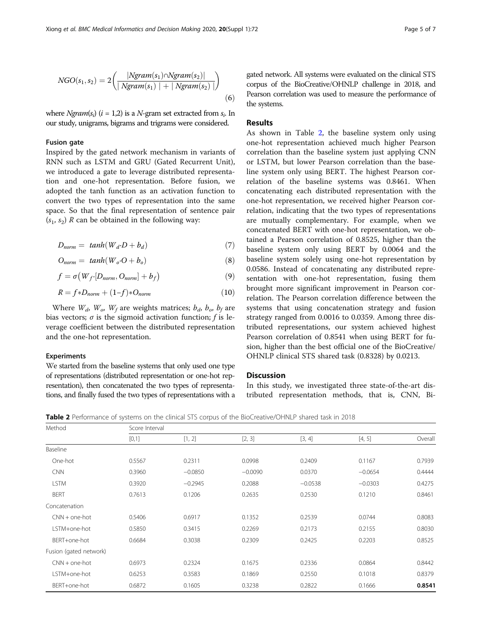<span id="page-4-0"></span>
$$
NGO(s_1, s_2) = 2\left(\frac{|Ngram(s_1) \cap Ngram(s_2)|}{|Ngram(s_1)| + |Ngram(s_2)|}\right)
$$
\n(6)

where  $Ngram(s_i)$   $(i = 1,2)$  is a N-gram set extracted from  $s_i$ . In our study, unigrams, bigrams and trigrams were considered.

#### Fusion gate

Inspired by the gated network mechanism in variants of RNN such as LSTM and GRU (Gated Recurrent Unit), we introduced a gate to leverage distributed representation and one-hot representation. Before fusion, we adopted the tanh function as an activation function to convert the two types of representation into the same space. So that the final representation of sentence pair  $(s_1, s_2)$  R can be obtained in the following way:

$$
D_{norm} = \tanh(W_d \cdot D + b_d) \tag{7}
$$

 $O_{norm} = \tanh(W_o \cdot O + b_o)$  (8)

$$
f = \sigma\big(W_f \cdot [D_{norm}, O_{norm}] + b_f\big) \tag{9}
$$

$$
R = f \ast D_{norm} + (1 - f) \ast O_{norm} \tag{10}
$$

Where  $W_d$ ,  $W_o$ ,  $W_f$  are weights matrices;  $b_d$ ,  $b_o$ ,  $b_f$  are bias vectors;  $\sigma$  is the sigmoid activation function; f is leverage coefficient between the distributed representation and the one-hot representation.

#### Experiments

We started from the baseline systems that only used one type of representations (distributed representation or one-hot representation), then concatenated the two types of representations, and finally fused the two types of representations with a gated network. All systems were evaluated on the clinical STS corpus of the BioCreative/OHNLP challenge in 2018, and Pearson correlation was used to measure the performance of the systems.

#### Results

As shown in Table 2, the baseline system only using one-hot representation achieved much higher Pearson correlation than the baseline system just applying CNN or LSTM, but lower Pearson correlation than the baseline system only using BERT. The highest Pearson correlation of the baseline systems was 0.8461. When concatenating each distributed representation with the one-hot representation, we received higher Pearson correlation, indicating that the two types of representations are mutually complementary. For example, when we concatenated BERT with one-hot representation, we obtained a Pearson correlation of 0.8525, higher than the baseline system only using BERT by 0.0064 and the baseline system solely using one-hot representation by 0.0586. Instead of concatenating any distributed representation with one-hot representation, fusing them brought more significant improvement in Pearson correlation. The Pearson correlation difference between the systems that using concatenation strategy and fusion strategy ranged from 0.0016 to 0.0359. Among three distributed representations, our system achieved highest Pearson correlation of 0.8541 when using BERT for fusion, higher than the best official one of the BioCreative/ OHNLP clinical STS shared task (0.8328) by 0.0213.

#### **Discussion**

In this study, we investigated three state-of-the-art distributed representation methods, that is, CNN, Bi-

Table 2 Performance of systems on the clinical STS corpus of the BioCreative/OHNLP shared task in 2018

| Method                 | Score Interval |           |           |           |           |         |  |
|------------------------|----------------|-----------|-----------|-----------|-----------|---------|--|
|                        | $[0,1]$        | [1, 2]    | [2, 3]    | [3, 4]    | [4, 5]    | Overall |  |
| Baseline               |                |           |           |           |           |         |  |
| One-hot                | 0.5567         | 0.2311    | 0.0998    | 0.2409    | 0.1167    | 0.7939  |  |
| <b>CNN</b>             | 0.3960         | $-0.0850$ | $-0.0090$ | 0.0370    | $-0.0654$ | 0.4444  |  |
| <b>LSTM</b>            | 0.3920         | $-0.2945$ | 0.2088    | $-0.0538$ | $-0.0303$ | 0.4275  |  |
| <b>BERT</b>            | 0.7613         | 0.1206    | 0.2635    | 0.2530    | 0.1210    | 0.8461  |  |
| Concatenation          |                |           |           |           |           |         |  |
| $CNN + one-hot$        | 0.5406         | 0.6917    | 0.1352    | 0.2539    | 0.0744    | 0.8083  |  |
| LSTM+one-hot           | 0.5850         | 0.3415    | 0.2269    | 0.2173    | 0.2155    | 0.8030  |  |
| BERT+one-hot           | 0.6684         | 0.3038    | 0.2309    | 0.2425    | 0.2203    | 0.8525  |  |
| Fusion (gated network) |                |           |           |           |           |         |  |
| $CNN + one-hot$        | 0.6973         | 0.2324    | 0.1675    | 0.2336    | 0.0864    | 0.8442  |  |
| LSTM+one-hot           | 0.6253         | 0.3583    | 0.1869    | 0.2550    | 0.1018    | 0.8379  |  |
| BERT+one-hot           | 0.6872         | 0.1605    | 0.3238    | 0.2822    | 0.1666    | 0.8541  |  |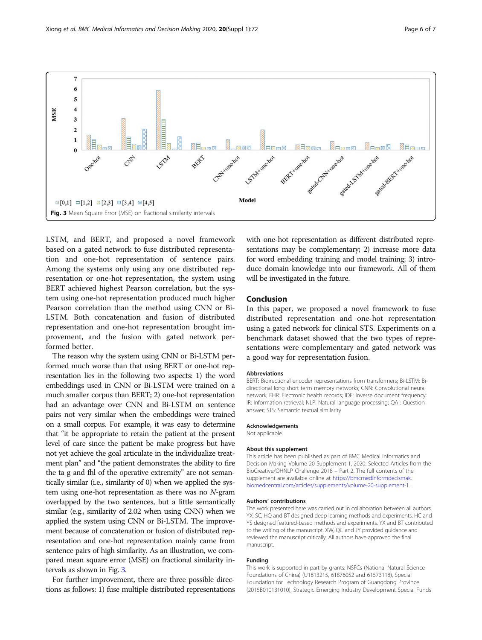

LSTM, and BERT, and proposed a novel framework based on a gated network to fuse distributed representation and one-hot representation of sentence pairs. Among the systems only using any one distributed representation or one-hot representation, the system using BERT achieved highest Pearson correlation, but the system using one-hot representation produced much higher Pearson correlation than the method using CNN or Bi-LSTM. Both concatenation and fusion of distributed representation and one-hot representation brought improvement, and the fusion with gated network performed better.

The reason why the system using CNN or Bi-LSTM performed much worse than that using BERT or one-hot representation lies in the following two aspects: 1) the word embeddings used in CNN or Bi-LSTM were trained on a much smaller corpus than BERT; 2) one-hot representation had an advantage over CNN and Bi-LSTM on sentence pairs not very similar when the embeddings were trained on a small corpus. For example, it was easy to determine that "it be appropriate to retain the patient at the present level of care since the patient be make progress but have not yet achieve the goal articulate in the individualize treatment plan" and "the patient demonstrates the ability to fire the ta g and fhl of the operative extremity" are not semantically similar (i.e., similarity of 0) when we applied the system using one-hot representation as there was no N-gram overlapped by the two sentences, but a little semantically similar (e.g., similarity of 2.02 when using CNN) when we applied the system using CNN or Bi-LSTM. The improvement because of concatenation or fusion of distributed representation and one-hot representation mainly came from sentence pairs of high similarity. As an illustration, we compared mean square error (MSE) on fractional similarity intervals as shown in Fig. 3.

For further improvement, there are three possible directions as follows: 1) fuse multiple distributed representations with one-hot representation as different distributed representations may be complementary; 2) increase more data for word embedding training and model training; 3) introduce domain knowledge into our framework. All of them will be investigated in the future.

#### Conclusion

In this paper, we proposed a novel framework to fuse distributed representation and one-hot representation using a gated network for clinical STS. Experiments on a benchmark dataset showed that the two types of representations were complementary and gated network was a good way for representation fusion.

#### Abbreviations

BERT: Bidirectional encoder representations from transformers; Bi-LSTM: Bidirectional long short term memory networks; CNN: Convolutional neural network; EHR: Electronic health records; IDF: Inverse document frequency; IR: Information retrieval; NLP: Natural language processing; QA : Question answer; STS: Semantic textual similarity

#### Acknowledgements

Not applicable.

#### About this supplement

This article has been published as part of BMC Medical Informatics and Decision Making Volume 20 Supplement 1, 2020: Selected Articles from the BioCreative/OHNLP Challenge 2018 – Part 2. The full contents of the supplement are available online at [https://bmcmedinformdecismak.](https://bmcmedinformdecismak.biomedcentral.com/articles/supplements/volume-20-supplement-1) [biomedcentral.com/articles/supplements/volume-20-supplement-1.](https://bmcmedinformdecismak.biomedcentral.com/articles/supplements/volume-20-supplement-1)

#### Authors' contributions

The work presented here was carried out in collaboration between all authors. YX, SC, HQ and BT designed deep learning methods and experiments. HC and YS designed featured-based methods and experiments. YX and BT contributed to the writing of the manuscript. XW, QC and JY provided guidance and reviewed the manuscript critically. All authors have approved the final manuscript.

#### Funding

This work is supported in part by grants: NSFCs (National Natural Science Foundations of China) (U1813215, 61876052 and 61573118), Special Foundation for Technology Research Program of Guangdong Province (2015B010131010), Strategic Emerging Industry Development Special Funds